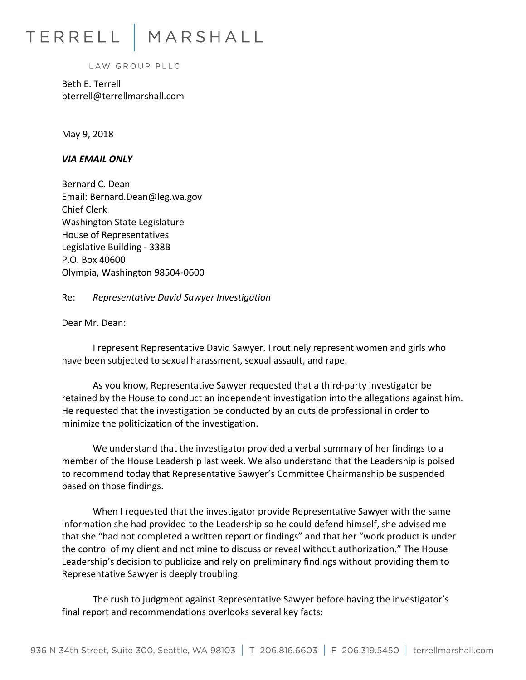## TERRELL MARSHALL

LAW GROUP PLLC

Beth E. Terrell bterrell@terrellmarshall.com

May 9, 2018

*VIA EMAIL ONLY* 

Bernard C. Dean Email: Bernard.Dean@leg.wa.gov Chief Clerk Washington State Legislature House of Representatives Legislative Building - 338B P.O. Box 40600 Olympia, Washington 98504-0600

Re: *Representative David Sawyer Investigation*

Dear Mr. Dean:

I represent Representative David Sawyer. I routinely represent women and girls who have been subjected to sexual harassment, sexual assault, and rape.

As you know, Representative Sawyer requested that a third-party investigator be retained by the House to conduct an independent investigation into the allegations against him. He requested that the investigation be conducted by an outside professional in order to minimize the politicization of the investigation.

We understand that the investigator provided a verbal summary of her findings to a member of the House Leadership last week. We also understand that the Leadership is poised to recommend today that Representative Sawyer's Committee Chairmanship be suspended based on those findings.

When I requested that the investigator provide Representative Sawyer with the same information she had provided to the Leadership so he could defend himself, she advised me that she "had not completed a written report or findings" and that her "work product is under the control of my client and not mine to discuss or reveal without authorization." The House Leadership's decision to publicize and rely on preliminary findings without providing them to Representative Sawyer is deeply troubling.

The rush to judgment against Representative Sawyer before having the investigator's final report and recommendations overlooks several key facts: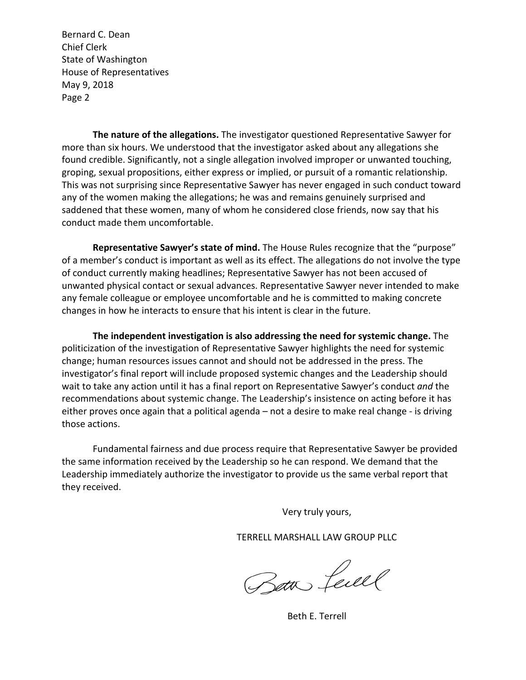Bernard C. Dean Chief Clerk State of Washington House of Representatives May 9, 2018 Page 2

**The nature of the allegations.** The investigator questioned Representative Sawyer for more than six hours. We understood that the investigator asked about any allegations she found credible. Significantly, not a single allegation involved improper or unwanted touching, groping, sexual propositions, either express or implied, or pursuit of a romantic relationship. This was not surprising since Representative Sawyer has never engaged in such conduct toward any of the women making the allegations; he was and remains genuinely surprised and saddened that these women, many of whom he considered close friends, now say that his conduct made them uncomfortable.

**Representative Sawyer's state of mind.** The House Rules recognize that the "purpose" of a member's conduct is important as well as its effect. The allegations do not involve the type of conduct currently making headlines; Representative Sawyer has not been accused of unwanted physical contact or sexual advances. Representative Sawyer never intended to make any female colleague or employee uncomfortable and he is committed to making concrete changes in how he interacts to ensure that his intent is clear in the future.

**The independent investigation is also addressing the need for systemic change.** The politicization of the investigation of Representative Sawyer highlights the need for systemic change; human resources issues cannot and should not be addressed in the press. The investigator's final report will include proposed systemic changes and the Leadership should wait to take any action until it has a final report on Representative Sawyer's conduct *and* the recommendations about systemic change. The Leadership's insistence on acting before it has either proves once again that a political agenda – not a desire to make real change - is driving those actions.

Fundamental fairness and due process require that Representative Sawyer be provided the same information received by the Leadership so he can respond. We demand that the Leadership immediately authorize the investigator to provide us the same verbal report that they received.

Very truly yours,

TERRELL MARSHALL LAW GROUP PLLC

Bath Level

Beth E. Terrell